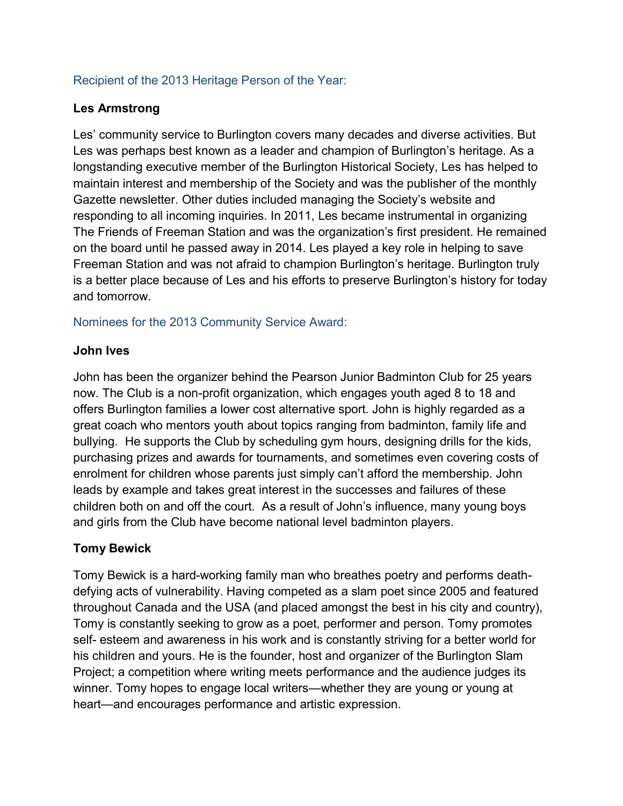#### Recipient of the 2013 Heritage Person of the Year:

#### **Les Armstrong**

Les' community service to Burlington covers many decades and diverse activities. But Les was perhaps best known as a leader and champion of Burlington's heritage. As a longstanding executive member of the Burlington Historical Society, Les has helped to maintain interest and membership of the Society and was the publisher of the monthly Gazette newsletter. Other duties included managing the Society's website and responding to all incoming inquiries. In 2011, Les became instrumental in organizing The Friends of Freeman Station and was the organization's first president. He remained on the board until he passed away in 2014. Les played a key role in helping to save Freeman Station and was not afraid to champion Burlington's heritage. Burlington truly is a better place because of Les and his efforts to preserve Burlington's history for today and tomorrow.

Nominees for the 2013 Community Service Award:

#### **John Ives**

John has been the organizer behind the Pearson Junior Badminton Club for 25 years now. The Club is a non-profit organization, which engages youth aged 8 to 18 and offers Burlington families a lower cost alternative sport. John is highly regarded as a great coach who mentors youth about topics ranging from badminton, family life and bullying. He supports the Club by scheduling gym hours, designing drills for the kids, purchasing prizes and awards for tournaments, and sometimes even covering costs of enrolment for children whose parents just simply can't afford the membership. John leads by example and takes great interest in the successes and failures of these children both on and off the court. As a result of John's influence, many young boys and girls from the Club have become national level badminton players.

## **Tomy Bewick**

Tomy Bewick is a hard-working family man who breathes poetry and performs deathdefying acts of vulnerability. Having competed as a slam poet since 2005 and featured throughout Canada and the USA (and placed amongst the best in his city and country), Tomy is constantly seeking to grow as a poet, performer and person. Tomy promotes self- esteem and awareness in his work and is constantly striving for a better world for his children and yours. He is the founder, host and organizer of the Burlington Slam Project; a competition where writing meets performance and the audience judges its winner. Tomy hopes to engage local writers—whether they are young or young at heart—and encourages performance and artistic expression.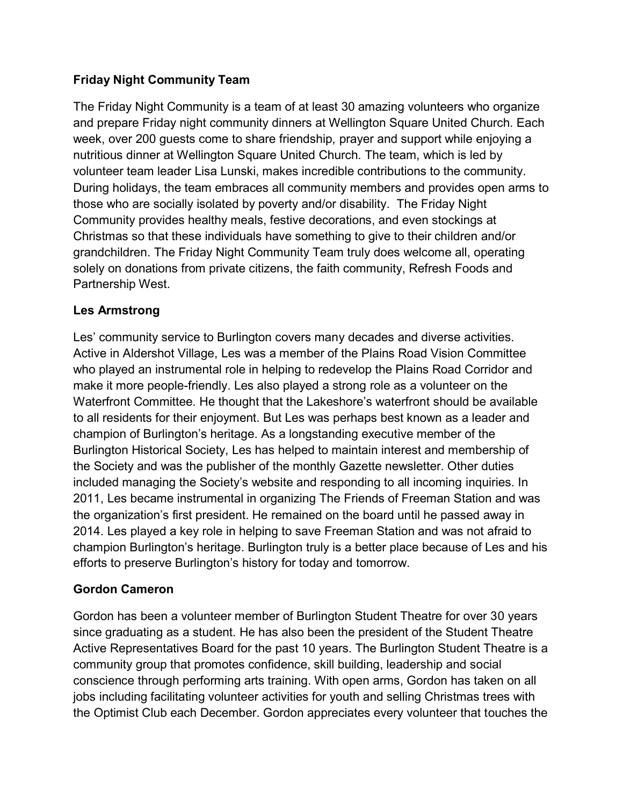## **Friday Night Community Team**

The Friday Night Community is a team of at least 30 amazing volunteers who organize and prepare Friday night community dinners at Wellington Square United Church. Each week, over 200 guests come to share friendship, prayer and support while enjoying a nutritious dinner at Wellington Square United Church. The team, which is led by volunteer team leader Lisa Lunski, makes incredible contributions to the community. During holidays, the team embraces all community members and provides open arms to those who are socially isolated by poverty and/or disability. The Friday Night Community provides healthy meals, festive decorations, and even stockings at Christmas so that these individuals have something to give to their children and/or grandchildren. The Friday Night Community Team truly does welcome all, operating solely on donations from private citizens, the faith community, Refresh Foods and Partnership West.

## **Les Armstrong**

Les' community service to Burlington covers many decades and diverse activities. Active in Aldershot Village, Les was a member of the Plains Road Vision Committee who played an instrumental role in helping to redevelop the Plains Road Corridor and make it more people-friendly. Les also played a strong role as a volunteer on the Waterfront Committee. He thought that the Lakeshore's waterfront should be available to all residents for their enjoyment. But Les was perhaps best known as a leader and champion of Burlington's heritage. As a longstanding executive member of the Burlington Historical Society, Les has helped to maintain interest and membership of the Society and was the publisher of the monthly Gazette newsletter. Other duties included managing the Society's website and responding to all incoming inquiries. In 2011, Les became instrumental in organizing The Friends of Freeman Station and was the organization's first president. He remained on the board until he passed away in 2014. Les played a key role in helping to save Freeman Station and was not afraid to champion Burlington's heritage. Burlington truly is a better place because of Les and his efforts to preserve Burlington's history for today and tomorrow.

## **Gordon Cameron**

Gordon has been a volunteer member of Burlington Student Theatre for over 30 years since graduating as a student. He has also been the president of the Student Theatre Active Representatives Board for the past 10 years. The Burlington Student Theatre is a community group that promotes confidence, skill building, leadership and social conscience through performing arts training. With open arms, Gordon has taken on all jobs including facilitating volunteer activities for youth and selling Christmas trees with the Optimist Club each December. Gordon appreciates every volunteer that touches the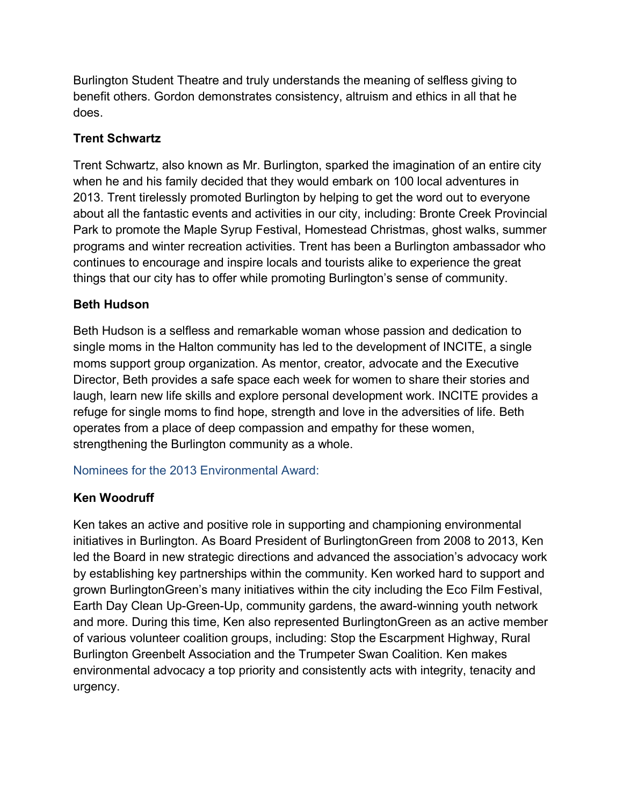Burlington Student Theatre and truly understands the meaning of selfless giving to benefit others. Gordon demonstrates consistency, altruism and ethics in all that he does.

### **Trent Schwartz**

Trent Schwartz, also known as Mr. Burlington, sparked the imagination of an entire city when he and his family decided that they would embark on 100 local adventures in 2013. Trent tirelessly promoted Burlington by helping to get the word out to everyone about all the fantastic events and activities in our city, including: Bronte Creek Provincial Park to promote the Maple Syrup Festival, Homestead Christmas, ghost walks, summer programs and winter recreation activities. Trent has been a Burlington ambassador who continues to encourage and inspire locals and tourists alike to experience the great things that our city has to offer while promoting Burlington's sense of community.

#### **Beth Hudson**

Beth Hudson is a selfless and remarkable woman whose passion and dedication to single moms in the Halton community has led to the development of INCITE, a single moms support group organization. As mentor, creator, advocate and the Executive Director, Beth provides a safe space each week for women to share their stories and laugh, learn new life skills and explore personal development work. INCITE provides a refuge for single moms to find hope, strength and love in the adversities of life. Beth operates from a place of deep compassion and empathy for these women, strengthening the Burlington community as a whole.

Nominees for the 2013 Environmental Award:

## **Ken Woodruff**

Ken takes an active and positive role in supporting and championing environmental initiatives in Burlington. As Board President of BurlingtonGreen from 2008 to 2013, Ken led the Board in new strategic directions and advanced the association's advocacy work by establishing key partnerships within the community. Ken worked hard to support and grown BurlingtonGreen's many initiatives within the city including the Eco Film Festival, Earth Day Clean Up-Green-Up, community gardens, the award-winning youth network and more. During this time, Ken also represented BurlingtonGreen as an active member of various volunteer coalition groups, including: Stop the Escarpment Highway, Rural Burlington Greenbelt Association and the Trumpeter Swan Coalition. Ken makes environmental advocacy a top priority and consistently acts with integrity, tenacity and urgency.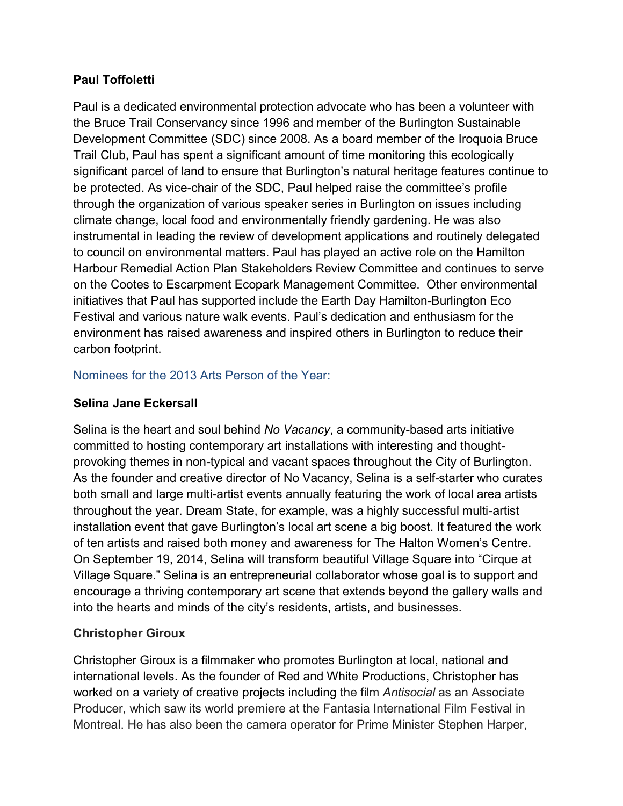## **Paul Toffoletti**

Paul is a dedicated environmental protection advocate who has been a volunteer with the Bruce Trail Conservancy since 1996 and member of the Burlington Sustainable Development Committee (SDC) since 2008. As a board member of the Iroquoia Bruce Trail Club, Paul has spent a significant amount of time monitoring this ecologically significant parcel of land to ensure that Burlington's natural heritage features continue to be protected. As vice-chair of the SDC, Paul helped raise the committee's profile through the organization of various speaker series in Burlington on issues including climate change, local food and environmentally friendly gardening. He was also instrumental in leading the review of development applications and routinely delegated to council on environmental matters. Paul has played an active role on the Hamilton Harbour Remedial Action Plan Stakeholders Review Committee and continues to serve on the Cootes to Escarpment Ecopark Management Committee. Other environmental initiatives that Paul has supported include the Earth Day Hamilton-Burlington Eco Festival and various nature walk events. Paul's dedication and enthusiasm for the environment has raised awareness and inspired others in Burlington to reduce their carbon footprint.

#### Nominees for the 2013 Arts Person of the Year:

#### **Selina Jane Eckersall**

Selina is the heart and soul behind *No Vacancy*, a community-based arts initiative committed to hosting contemporary art installations with interesting and thoughtprovoking themes in non-typical and vacant spaces throughout the City of Burlington. As the founder and creative director of No Vacancy, Selina is a self-starter who curates both small and large multi-artist events annually featuring the work of local area artists throughout the year. Dream State, for example, was a highly successful multi-artist installation event that gave Burlington's local art scene a big boost. It featured the work of ten artists and raised both money and awareness for The Halton Women's Centre. On September 19, 2014, Selina will transform beautiful Village Square into "Cirque at Village Square." Selina is an entrepreneurial collaborator whose goal is to support and encourage a thriving contemporary art scene that extends beyond the gallery walls and into the hearts and minds of the city's residents, artists, and businesses.

#### **Christopher Giroux**

Christopher Giroux is a filmmaker who promotes Burlington at local, national and international levels. As the founder of Red and White Productions, Christopher has worked on a variety of creative projects including the film *Antisocial* as an Associate Producer, which saw its world premiere at the Fantasia International Film Festival in Montreal. He has also been the camera operator for Prime Minister Stephen Harper,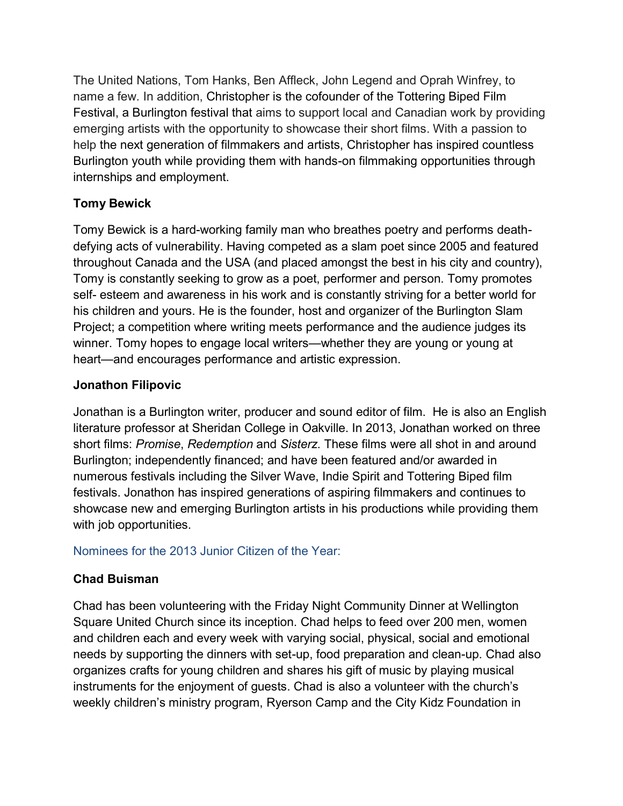The United Nations, Tom Hanks, Ben Affleck, John Legend and Oprah Winfrey, to name a few. In addition, Christopher is the cofounder of the Tottering Biped Film Festival, a Burlington festival that aims to support local and Canadian work by providing emerging artists with the opportunity to showcase their short films. With a passion to help the next generation of filmmakers and artists, Christopher has inspired countless Burlington youth while providing them with hands-on filmmaking opportunities through internships and employment.

## **Tomy Bewick**

Tomy Bewick is a hard-working family man who breathes poetry and performs deathdefying acts of vulnerability. Having competed as a slam poet since 2005 and featured throughout Canada and the USA (and placed amongst the best in his city and country), Tomy is constantly seeking to grow as a poet, performer and person. Tomy promotes self- esteem and awareness in his work and is constantly striving for a better world for his children and yours. He is the founder, host and organizer of the Burlington Slam Project; a competition where writing meets performance and the audience judges its winner. Tomy hopes to engage local writers—whether they are young or young at heart—and encourages performance and artistic expression.

### **Jonathon Filipovic**

Jonathan is a Burlington writer, producer and sound editor of film. He is also an English literature professor at Sheridan College in Oakville. In 2013, Jonathan worked on three short films: *Promise*, *Redemption* and *Sisterz*. These films were all shot in and around Burlington; independently financed; and have been featured and/or awarded in numerous festivals including the Silver Wave, Indie Spirit and Tottering Biped film festivals. Jonathon has inspired generations of aspiring filmmakers and continues to showcase new and emerging Burlington artists in his productions while providing them with job opportunities.

#### Nominees for the 2013 Junior Citizen of the Year:

## **Chad Buisman**

Chad has been volunteering with the Friday Night Community Dinner at Wellington Square United Church since its inception. Chad helps to feed over 200 men, women and children each and every week with varying social, physical, social and emotional needs by supporting the dinners with set-up, food preparation and clean-up. Chad also organizes crafts for young children and shares his gift of music by playing musical instruments for the enjoyment of guests. Chad is also a volunteer with the church's weekly children's ministry program, Ryerson Camp and the City Kidz Foundation in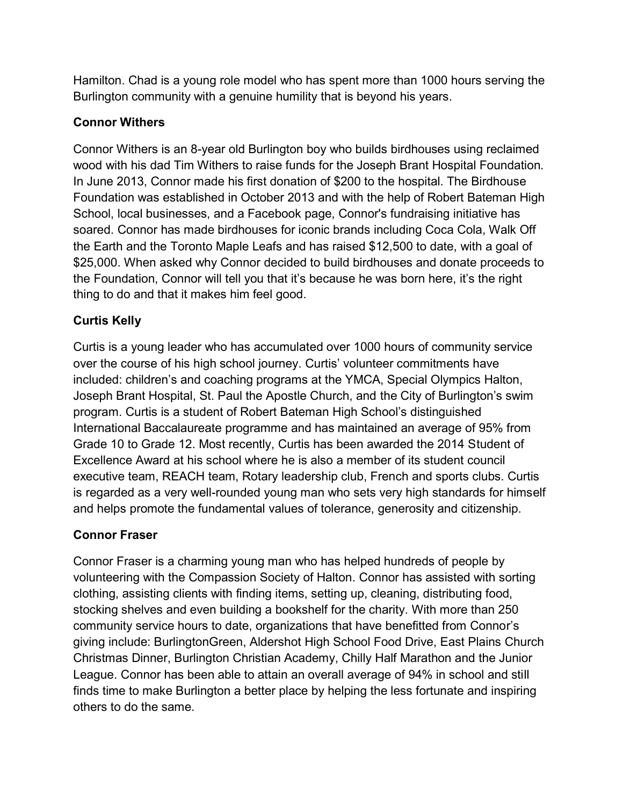Hamilton. Chad is a young role model who has spent more than 1000 hours serving the Burlington community with a genuine humility that is beyond his years.

### **Connor Withers**

Connor Withers is an 8-year old Burlington boy who builds birdhouses using reclaimed wood with his dad Tim Withers to raise funds for the Joseph Brant Hospital Foundation. In June 2013, Connor made his first donation of \$200 to the hospital. The Birdhouse Foundation was established in October 2013 and with the help of Robert Bateman High School, local businesses, and a Facebook page, Connor's fundraising initiative has soared. Connor has made birdhouses for iconic brands including Coca Cola, Walk Off the Earth and the Toronto Maple Leafs and has raised \$12,500 to date, with a goal of \$25,000. When asked why Connor decided to build birdhouses and donate proceeds to the Foundation, Connor will tell you that it's because he was born here, it's the right thing to do and that it makes him feel good.

# **Curtis Kelly**

Curtis is a young leader who has accumulated over 1000 hours of community service over the course of his high school journey. Curtis' volunteer commitments have included: children's and coaching programs at the YMCA, Special Olympics Halton, Joseph Brant Hospital, St. Paul the Apostle Church, and the City of Burlington's swim program. Curtis is a student of Robert Bateman High School's distinguished International Baccalaureate programme and has maintained an average of 95% from Grade 10 to Grade 12. Most recently, Curtis has been awarded the 2014 Student of Excellence Award at his school where he is also a member of its student council executive team, REACH team, Rotary leadership club, French and sports clubs. Curtis is regarded as a very well-rounded young man who sets very high standards for himself and helps promote the fundamental values of tolerance, generosity and citizenship.

## **Connor Fraser**

Connor Fraser is a charming young man who has helped hundreds of people by volunteering with the Compassion Society of Halton. Connor has assisted with sorting clothing, assisting clients with finding items, setting up, cleaning, distributing food, stocking shelves and even building a bookshelf for the charity. With more than 250 community service hours to date, organizations that have benefitted from Connor's giving include: BurlingtonGreen, Aldershot High School Food Drive, East Plains Church Christmas Dinner, Burlington Christian Academy, Chilly Half Marathon and the Junior League. Connor has been able to attain an overall average of 94% in school and still finds time to make Burlington a better place by helping the less fortunate and inspiring others to do the same.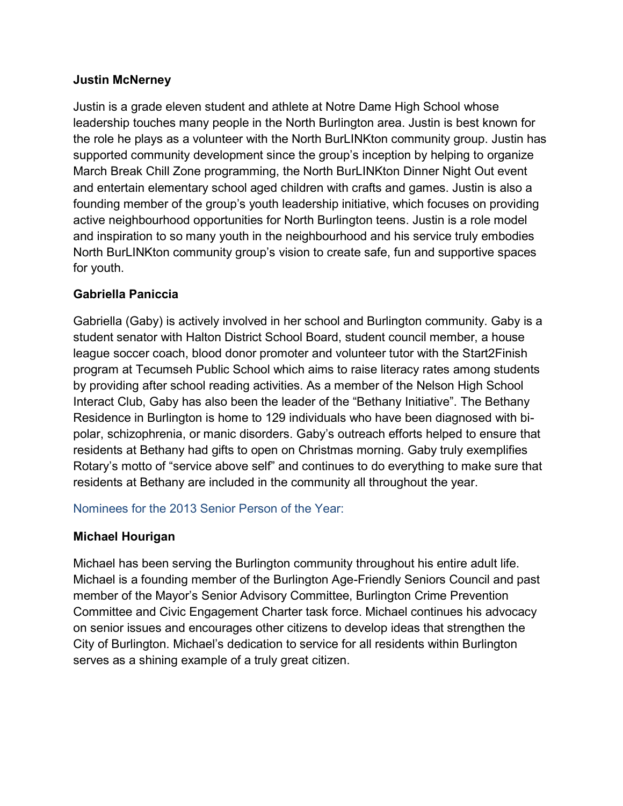### **Justin McNerney**

Justin is a grade eleven student and athlete at Notre Dame High School whose leadership touches many people in the North Burlington area. Justin is best known for the role he plays as a volunteer with the North BurLINKton community group. Justin has supported community development since the group's inception by helping to organize March Break Chill Zone programming, the North BurLINKton Dinner Night Out event and entertain elementary school aged children with crafts and games. Justin is also a founding member of the group's youth leadership initiative, which focuses on providing active neighbourhood opportunities for North Burlington teens. Justin is a role model and inspiration to so many youth in the neighbourhood and his service truly embodies North BurLINKton community group's vision to create safe, fun and supportive spaces for youth.

### **Gabriella Paniccia**

Gabriella (Gaby) is actively involved in her school and Burlington community. Gaby is a student senator with Halton District School Board, student council member, a house league soccer coach, blood donor promoter and volunteer tutor with the Start2Finish program at Tecumseh Public School which aims to raise literacy rates among students by providing after school reading activities. As a member of the Nelson High School Interact Club, Gaby has also been the leader of the "Bethany Initiative". The Bethany Residence in Burlington is home to 129 individuals who have been diagnosed with bipolar, schizophrenia, or manic disorders. Gaby's outreach efforts helped to ensure that residents at Bethany had gifts to open on Christmas morning. Gaby truly exemplifies Rotary's motto of "service above self" and continues to do everything to make sure that residents at Bethany are included in the community all throughout the year.

Nominees for the 2013 Senior Person of the Year:

## **Michael Hourigan**

Michael has been serving the Burlington community throughout his entire adult life. Michael is a founding member of the Burlington Age-Friendly Seniors Council and past member of the Mayor's Senior Advisory Committee, Burlington Crime Prevention Committee and Civic Engagement Charter task force. Michael continues his advocacy on senior issues and encourages other citizens to develop ideas that strengthen the City of Burlington. Michael's dedication to service for all residents within Burlington serves as a shining example of a truly great citizen.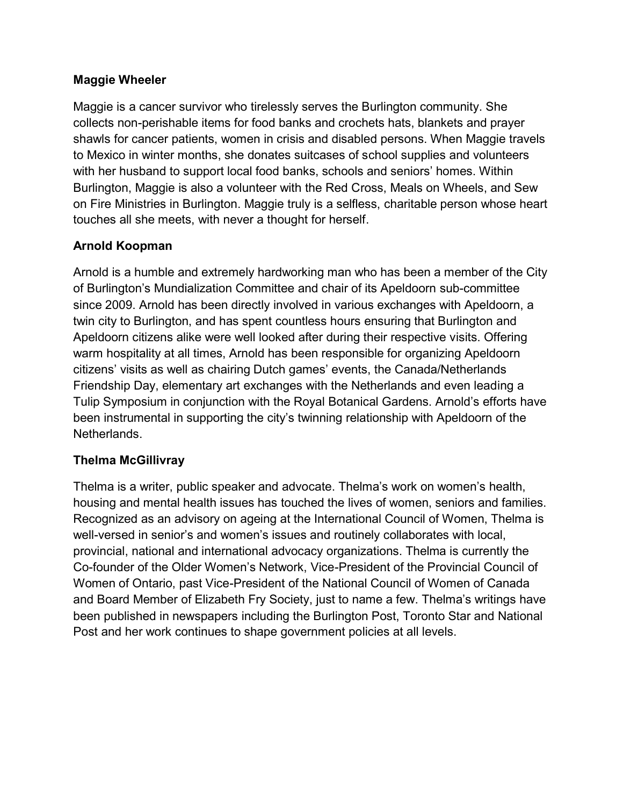### **Maggie Wheeler**

Maggie is a cancer survivor who tirelessly serves the Burlington community. She collects non-perishable items for food banks and crochets hats, blankets and prayer shawls for cancer patients, women in crisis and disabled persons. When Maggie travels to Mexico in winter months, she donates suitcases of school supplies and volunteers with her husband to support local food banks, schools and seniors' homes. Within Burlington, Maggie is also a volunteer with the Red Cross, Meals on Wheels, and Sew on Fire Ministries in Burlington. Maggie truly is a selfless, charitable person whose heart touches all she meets, with never a thought for herself.

## **Arnold Koopman**

Arnold is a humble and extremely hardworking man who has been a member of the City of Burlington's Mundialization Committee and chair of its Apeldoorn sub-committee since 2009. Arnold has been directly involved in various exchanges with Apeldoorn, a twin city to Burlington, and has spent countless hours ensuring that Burlington and Apeldoorn citizens alike were well looked after during their respective visits. Offering warm hospitality at all times, Arnold has been responsible for organizing Apeldoorn citizens' visits as well as chairing Dutch games' events, the Canada/Netherlands Friendship Day, elementary art exchanges with the Netherlands and even leading a Tulip Symposium in conjunction with the Royal Botanical Gardens. Arnold's efforts have been instrumental in supporting the city's twinning relationship with Apeldoorn of the Netherlands.

#### **Thelma McGillivray**

Thelma is a writer, public speaker and advocate. Thelma's work on women's health, housing and mental health issues has touched the lives of women, seniors and families. Recognized as an advisory on ageing at the International Council of Women, Thelma is well-versed in senior's and women's issues and routinely collaborates with local, provincial, national and international advocacy organizations. Thelma is currently the Co-founder of the Older Women's Network, Vice-President of the Provincial Council of Women of Ontario, past Vice-President of the National Council of Women of Canada and Board Member of Elizabeth Fry Society, just to name a few. Thelma's writings have been published in newspapers including the Burlington Post, Toronto Star and National Post and her work continues to shape government policies at all levels.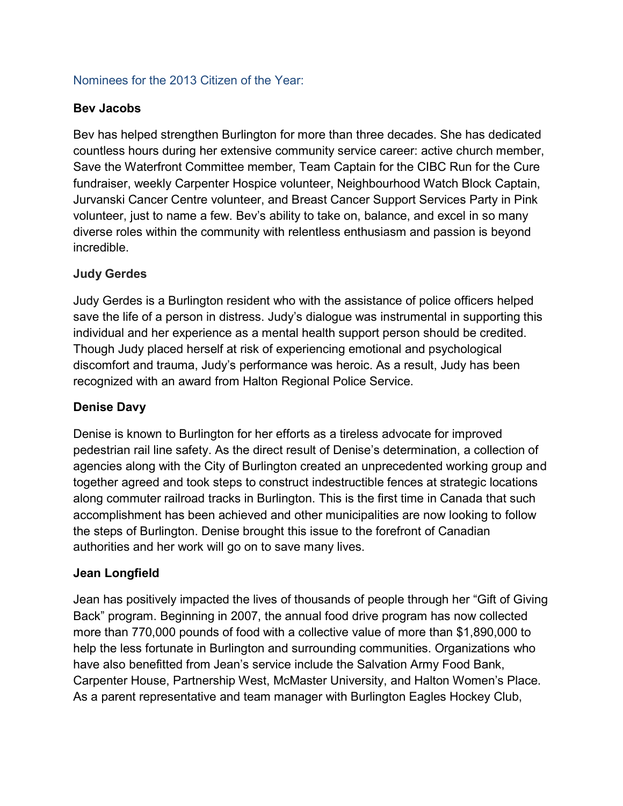#### Nominees for the 2013 Citizen of the Year:

#### **Bev Jacobs**

Bev has helped strengthen Burlington for more than three decades. She has dedicated countless hours during her extensive community service career: active church member, Save the Waterfront Committee member, Team Captain for the CIBC Run for the Cure fundraiser, weekly Carpenter Hospice volunteer, Neighbourhood Watch Block Captain, Jurvanski Cancer Centre volunteer, and Breast Cancer Support Services Party in Pink volunteer, just to name a few. Bev's ability to take on, balance, and excel in so many diverse roles within the community with relentless enthusiasm and passion is beyond incredible.

#### **Judy Gerdes**

Judy Gerdes is a Burlington resident who with the assistance of police officers helped save the life of a person in distress. Judy's dialogue was instrumental in supporting this individual and her experience as a mental health support person should be credited. Though Judy placed herself at risk of experiencing emotional and psychological discomfort and trauma, Judy's performance was heroic. As a result, Judy has been recognized with an award from Halton Regional Police Service.

#### **Denise Davy**

Denise is known to Burlington for her efforts as a tireless advocate for improved pedestrian rail line safety. As the direct result of Denise's determination, a collection of agencies along with the City of Burlington created an unprecedented working group and together agreed and took steps to construct indestructible fences at strategic locations along commuter railroad tracks in Burlington. This is the first time in Canada that such accomplishment has been achieved and other municipalities are now looking to follow the steps of Burlington. Denise brought this issue to the forefront of Canadian authorities and her work will go on to save many lives.

#### **Jean Longfield**

Jean has positively impacted the lives of thousands of people through her "Gift of Giving Back" program. Beginning in 2007, the annual food drive program has now collected more than 770,000 pounds of food with a collective value of more than \$1,890,000 to help the less fortunate in Burlington and surrounding communities. Organizations who have also benefitted from Jean's service include the Salvation Army Food Bank, Carpenter House, Partnership West, McMaster University, and Halton Women's Place. As a parent representative and team manager with Burlington Eagles Hockey Club,